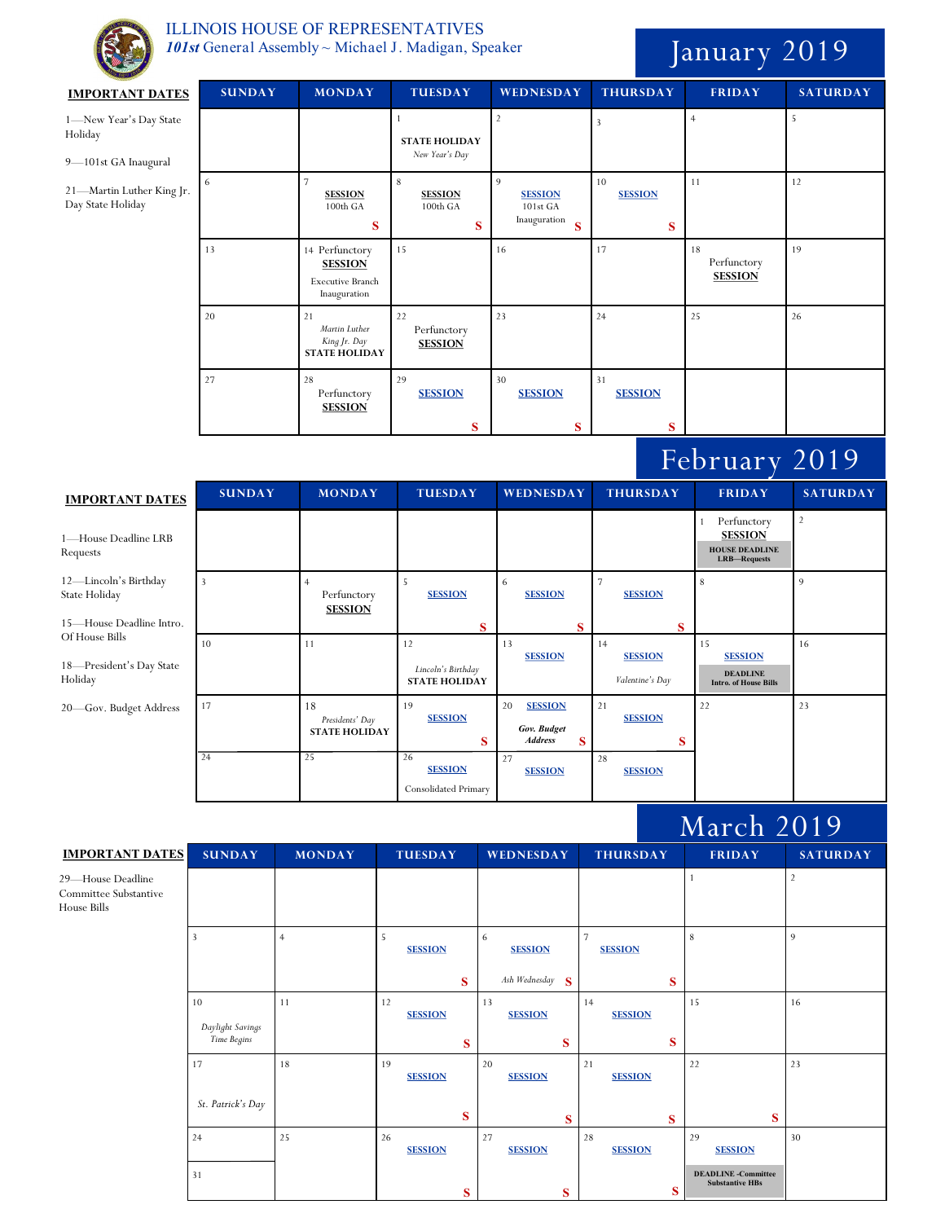

## ILLINOIS HOUSE OF REPRESENTATIVES 101st General Assembly ~ Michael J. Madigan, Speaker January 2019

| <b>IMPORTANT DATES</b>                                             | <b>SUNDAY</b>  | <b>MONDAY</b>                                                        | <b>TUESDAY</b>                                         | WEDNESDAY                                                         | <b>THURSDAY</b>                         | <b>FRIDAY</b>                                                                   | <b>SATURDAY</b> |
|--------------------------------------------------------------------|----------------|----------------------------------------------------------------------|--------------------------------------------------------|-------------------------------------------------------------------|-----------------------------------------|---------------------------------------------------------------------------------|-----------------|
| 1-New Year's Day State<br>Holiday<br>9-101st GA Inaugural          |                |                                                                      | $\mathbf{1}$<br><b>STATE HOLIDAY</b><br>New Year's Day | $\overline{2}$                                                    | $\overline{\mathbf{3}}$                 | $\overline{4}$                                                                  | 5               |
| 21-Martin Luther King Jr.<br>Day State Holiday                     | 6              | $\overline{\phantom{a}}$<br><b>SESSION</b><br>100th GA<br>S          | $\,8\,$<br><b>SESSION</b><br>$100th$ GA<br>S           | $\overline{9}$<br><b>SESSION</b><br>101st GA<br>Inauguration<br>S | 10<br><b>SESSION</b><br>S               | 11                                                                              | 12              |
|                                                                    | 13             | 14 Perfunctory<br><b>SESSION</b><br>Executive Branch<br>Inauguration | 15                                                     | 16                                                                | 17                                      | 18<br>Perfunctory<br><b>SESSION</b>                                             | 19              |
|                                                                    | 20             | 21<br>Martin Luther<br>King Jr. Day<br><b>STATE HOLIDAY</b>          | 22<br>Perfunctory<br><b>SESSION</b>                    | 23                                                                | 24                                      | 25                                                                              | 26              |
|                                                                    | 27             | 28<br>Perfunctory<br><b>SESSION</b>                                  | 29<br><b>SESSION</b><br>S                              | 30<br><b>SESSION</b><br>S                                         | 31<br><b>SESSION</b><br>S               |                                                                                 |                 |
|                                                                    |                |                                                                      |                                                        |                                                                   |                                         |                                                                                 |                 |
|                                                                    |                |                                                                      |                                                        |                                                                   |                                         | February 2019                                                                   |                 |
| <b>IMPORTANT DATES</b>                                             | <b>SUNDAY</b>  | <b>MONDAY</b>                                                        | <b>TUESDAY</b>                                         | <b>WEDNESDAY</b>                                                  | <b>THURSDAY</b>                         | <b>FRIDAY</b>                                                                   | <b>SATURDAY</b> |
| 1-House Deadline LRB<br>Requests                                   |                |                                                                      |                                                        |                                                                   |                                         | 1 Perfunctory<br><b>SESSION</b><br><b>HOUSE DEADLINE</b><br><b>LRB-Requests</b> | $\overline{2}$  |
| 12-Lincoln's Birthday<br>State Holiday<br>15-House Deadline Intro. | $\overline{3}$ | $\overline{4}$<br>Perfunctory<br><b>SESSION</b>                      | $\sqrt{5}$<br><b>SESSION</b>                           | 6<br><b>SESSION</b><br>S                                          | $\overline{7}$<br><b>SESSION</b><br>S   | $\,$ 8 $\,$                                                                     | 9               |
| Of House Bills<br>18-President's Day State<br>Holiday              | 10             | 11                                                                   | S<br>12<br>Lincoln's Birthday<br><b>STATE HOLIDAY</b>  | 13<br><b>SESSION</b>                                              | 14<br><b>SESSION</b><br>Valentine's Day | 15<br><b>SESSION</b><br><b>DEADLINE</b><br><b>Intro. of House Bills</b>         | 16              |
| 20-Gov. Budget Address                                             | 17             | 18<br>Presidents' Day<br><b>STATE HOLIDAY</b>                        | 19<br><b>SESSION</b><br>S                              | 20<br><b>SESSION</b><br>Gov. Budget<br><b>Address</b><br>S        | 21<br><b>SESSION</b><br>S               | 22                                                                              | 23              |

## March 2019

| <b>IMPORTANT DATES</b>                                    | <b>SUNDAY</b>                         | <b>MONDAY</b>  | <b>TUESDAY</b>                   | <b>WEDNESDAY</b>                         | <b>THURSDAY</b>                       | <b>FRIDAY</b>                                                                | <b>SATURDAY</b> |
|-----------------------------------------------------------|---------------------------------------|----------------|----------------------------------|------------------------------------------|---------------------------------------|------------------------------------------------------------------------------|-----------------|
| 29-House Deadline<br>Committee Substantive<br>House Bills |                                       |                |                                  |                                          |                                       |                                                                              | $\overline{2}$  |
|                                                           | 3                                     | $\overline{4}$ | 5<br><b>SESSION</b><br>S         | 6<br><b>SESSION</b><br>Ash Wednesday $S$ | $\overline{7}$<br><b>SESSION</b><br>S | 8                                                                            | 9               |
|                                                           | 10<br>Daylight Savings<br>Time Begins | 11             | 12<br><b>SESSION</b><br>$\bf{s}$ | 13<br><b>SESSION</b><br>S                | 14<br><b>SESSION</b><br>S             | 15                                                                           | 16              |
|                                                           | 17<br>St. Patrick's Day               | 18             | 19<br><b>SESSION</b><br>S        | 20<br><b>SESSION</b><br>S                | 21<br><b>SESSION</b><br>S             | 22<br>S                                                                      | 23              |
|                                                           | 24<br>31                              | 25             | 26<br><b>SESSION</b><br>$\bf{s}$ | 27<br><b>SESSION</b><br>$\bf{s}$         | 28<br><b>SESSION</b><br>S             | 29<br><b>SESSION</b><br><b>DEADLINE</b> -Committee<br><b>Substantive HBs</b> | 30              |